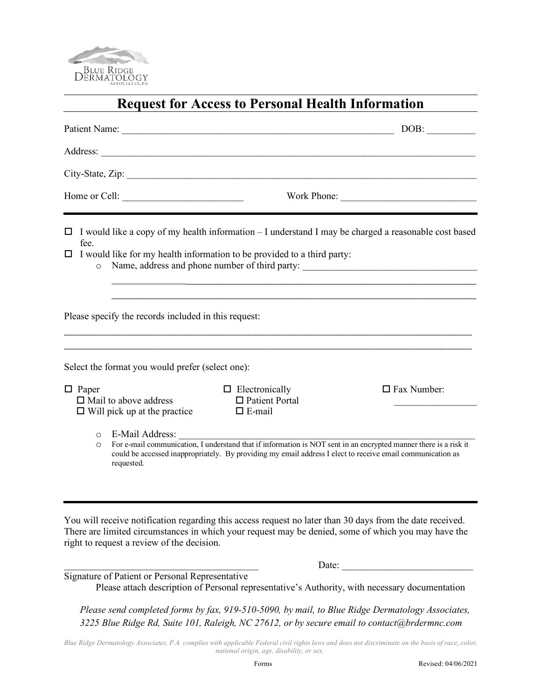

|                                                                                                                                                                                                                                                                |                                                                                                            | DOB:               |
|----------------------------------------------------------------------------------------------------------------------------------------------------------------------------------------------------------------------------------------------------------------|------------------------------------------------------------------------------------------------------------|--------------------|
|                                                                                                                                                                                                                                                                |                                                                                                            |                    |
|                                                                                                                                                                                                                                                                |                                                                                                            |                    |
| Home or Cell:                                                                                                                                                                                                                                                  |                                                                                                            | Work Phone:        |
| $\Box$ I would like a copy of my health information – I understand I may be charged a reasonable cost based<br>fee.<br>$\Box$ I would like for my health information to be provided to a third party:                                                          |                                                                                                            |                    |
| Please specify the records included in this request:                                                                                                                                                                                                           |                                                                                                            |                    |
| Select the format you would prefer (select one):                                                                                                                                                                                                               |                                                                                                            |                    |
| $\Box$ Paper<br>$\Box$ Mail to above address<br>$\Box$ Will pick up at the practice                                                                                                                                                                            | $\Box$ Electronically<br>$\Box$ Patient Portal<br>$\square$ E-mail                                         | $\Box$ Fax Number: |
| E-Mail Address:<br>For e-mail communication, I understand that if information is NOT sent in an encrypted manner there is a risk it<br>$\circ$<br>$\circ$<br>requested.                                                                                        | could be accessed inappropriately. By providing my email address I elect to receive email communication as |                    |
| You will receive notification regarding this access request no later than 30 days from the date received.<br>There are limited circumstances in which your request may be denied, some of which you may have the<br>right to request a review of the decision. |                                                                                                            |                    |
|                                                                                                                                                                                                                                                                |                                                                                                            | Date:              |
| Please attach description of Personal representative's Authority, with necessary documentation                                                                                                                                                                 |                                                                                                            |                    |
| Signature of Patient or Personal Representative<br>Please send completed forms by fax, 919-510-5090, by mail, to Blue Ridge Dermatology Associates,<br>3225 Blue Ridge Rd, Suite 101, Raleigh, NC 27612, or by secure email to contact@brdermnc.com            |                                                                                                            |                    |

*Blue Ridge Dermatology Associates, P.A. complies with applicable Federal civil rights laws and does not discriminate on the basis of race, color,*